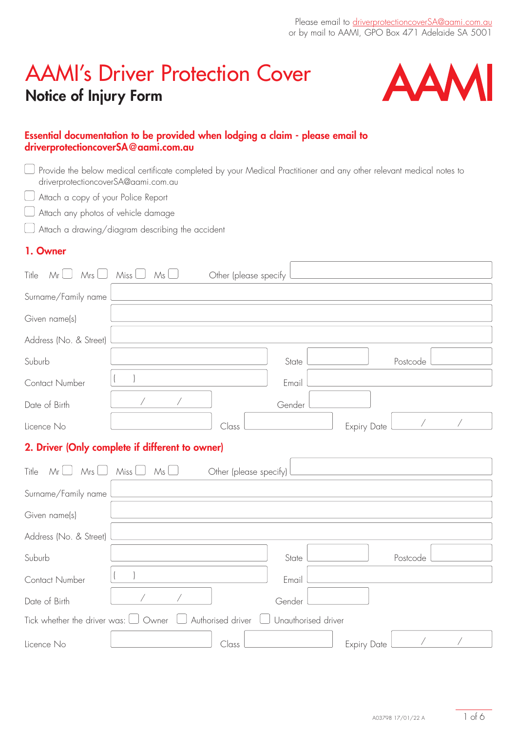# AAMI's Driver Protection Cover Notice of Injury Form



### Essential documentation to be provided when lodging a claim - please email to driverprotectioncoverSA@aami.com.au

| driverprotectioncoverSA@aami.com.au       | Provide the below medical certificate completed by your Medical Practitioner and any other relevant medical notes to |                        |                     |                    |          |  |
|-------------------------------------------|----------------------------------------------------------------------------------------------------------------------|------------------------|---------------------|--------------------|----------|--|
| Attach a copy of your Police Report       |                                                                                                                      |                        |                     |                    |          |  |
| Attach any photos of vehicle damage       |                                                                                                                      |                        |                     |                    |          |  |
|                                           | Attach a drawing/diagram describing the accident                                                                     |                        |                     |                    |          |  |
| 1. Owner                                  |                                                                                                                      |                        |                     |                    |          |  |
| Mr $\Box$<br>Title                        | $Mrs \bigsqcup Miss \bigsqcup$<br>$Ms \ \Box$                                                                        | Other (please specify  |                     |                    |          |  |
| Surname/Family name                       |                                                                                                                      |                        |                     |                    |          |  |
| Given name(s)                             |                                                                                                                      |                        |                     |                    |          |  |
| Address (No. & Street)                    |                                                                                                                      |                        |                     |                    |          |  |
| Suburb                                    |                                                                                                                      |                        | State               |                    | Postcode |  |
| Contact Number                            |                                                                                                                      |                        | Email               |                    |          |  |
| Date of Birth                             |                                                                                                                      |                        | Gender              |                    |          |  |
| Licence No                                |                                                                                                                      | Class                  |                     | <b>Expiry Date</b> |          |  |
|                                           | 2. Driver (Only complete if different to owner)                                                                      |                        |                     |                    |          |  |
| $Mr \cup Mrs \cup$<br>Title               | Miss $\Box$<br>Ms                                                                                                    | Other (please specify) |                     |                    |          |  |
| Surname/Family name                       |                                                                                                                      |                        |                     |                    |          |  |
| Given name(s)                             |                                                                                                                      |                        |                     |                    |          |  |
| Address (No. & Street)                    |                                                                                                                      |                        |                     |                    |          |  |
| Suburb                                    |                                                                                                                      |                        | State               |                    | Postcode |  |
| Contact Number                            |                                                                                                                      |                        | Email               |                    |          |  |
| Date of Birth                             |                                                                                                                      |                        | Gender              |                    |          |  |
| Tick whether the driver was: $\Box$ Owner |                                                                                                                      | Authorised driver      | Unauthorised driver |                    |          |  |
| Licence No                                |                                                                                                                      | $\bigcap$ ass          |                     | <b>Expiry Date</b> |          |  |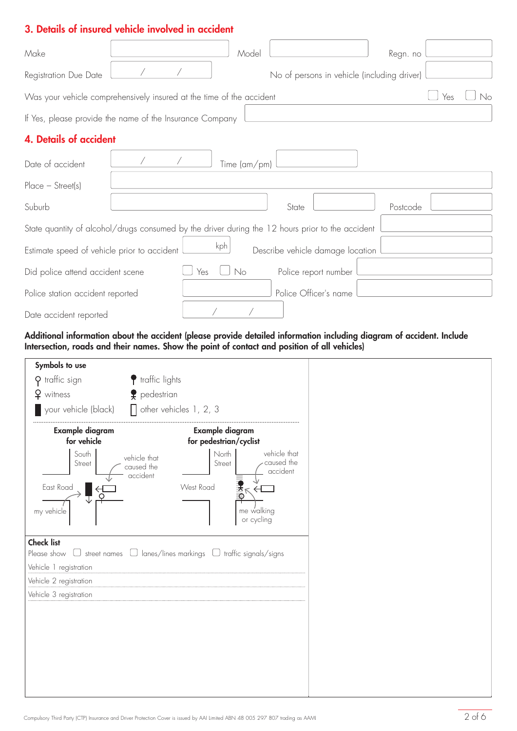### 3. Details of insured vehicle involved in accident

| Make                                                                                             |  |            | Model                      |       |                                             | Regn. no |  |    |
|--------------------------------------------------------------------------------------------------|--|------------|----------------------------|-------|---------------------------------------------|----------|--|----|
| Registration Due Date                                                                            |  |            |                            |       | No of persons in vehicle (including driver) |          |  |    |
| Was your vehicle comprehensively insured at the time of the accident<br>Yes                      |  |            |                            |       |                                             |          |  | No |
| If Yes, please provide the name of the Insurance Company                                         |  |            |                            |       |                                             |          |  |    |
| <b>4. Details of accident</b>                                                                    |  |            |                            |       |                                             |          |  |    |
| Date of accident                                                                                 |  |            | Time $\frac{1}{2}$ (am/pm) |       |                                             |          |  |    |
| $Place - Street(s)$                                                                              |  |            |                            |       |                                             |          |  |    |
| Suburb                                                                                           |  |            |                            | State |                                             | Postcode |  |    |
| State quantity of alcohol/drugs consumed by the driver during the 12 hours prior to the accident |  |            |                            |       |                                             |          |  |    |
| kph<br>Describe vehicle damage location<br>Estimate speed of vehicle prior to accident           |  |            |                            |       |                                             |          |  |    |
| Did police attend accident scene                                                                 |  | $\Box$ Yes | $\bigcup$ No               |       | Police report number                        |          |  |    |
| Police station accident reported                                                                 |  |            |                            |       | Police Officer's name                       |          |  |    |
| Date accident reported                                                                           |  |            |                            |       |                                             |          |  |    |
|                                                                                                  |  |            |                            |       |                                             |          |  |    |

#### Additional information about the accident (please provide detailed information including diagram of accident. Include Intersection, roads and their names. Show the point of contact and position of all vehicles)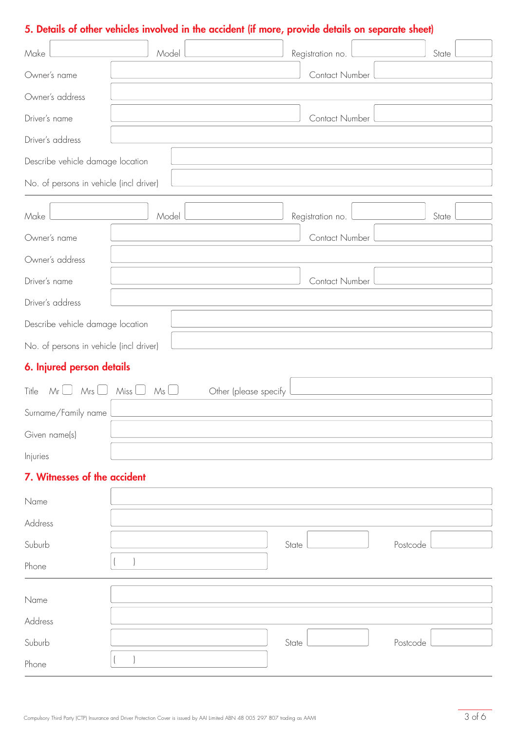# 5. Details of other vehicles involved in the accident (if more, provide details on separate sheet)

| Make             |                                                                                                             | Model                                      |                       |       | Registration no. |          | State |  |  |
|------------------|-------------------------------------------------------------------------------------------------------------|--------------------------------------------|-----------------------|-------|------------------|----------|-------|--|--|
| Owner's name     |                                                                                                             | Contact Number                             |                       |       |                  |          |       |  |  |
| Owner's address  |                                                                                                             |                                            |                       |       |                  |          |       |  |  |
| Driver's name    |                                                                                                             | Contact Number                             |                       |       |                  |          |       |  |  |
|                  | Driver's address                                                                                            |                                            |                       |       |                  |          |       |  |  |
|                  | Describe vehicle damage location                                                                            |                                            |                       |       |                  |          |       |  |  |
|                  | No. of persons in vehicle (incl driver)<br><u> 1989 - Andrea Stadt Britain, amerikansk politik (* 1958)</u> |                                            |                       |       |                  |          |       |  |  |
| Make             |                                                                                                             | Model                                      |                       |       | Registration no. |          | State |  |  |
| Owner's name     |                                                                                                             |                                            |                       |       | Contact Number   |          |       |  |  |
|                  | Owner's address                                                                                             |                                            |                       |       |                  |          |       |  |  |
| Driver's name    |                                                                                                             |                                            |                       |       | Contact Number   |          |       |  |  |
| Driver's address |                                                                                                             |                                            |                       |       |                  |          |       |  |  |
|                  | Describe vehicle damage location                                                                            |                                            |                       |       |                  |          |       |  |  |
|                  | No. of persons in vehicle (incl driver)                                                                     |                                            |                       |       |                  |          |       |  |  |
|                  | 6. Injured person details                                                                                   |                                            |                       |       |                  |          |       |  |  |
| Title            |                                                                                                             | $Mr \Box$ $Mrs \Box$ $Miss \Box$ $Ms \Box$ | Other (please specify |       |                  |          |       |  |  |
|                  | Surname/Family name                                                                                         |                                            |                       |       |                  |          |       |  |  |
| Given name(s)    |                                                                                                             |                                            |                       |       |                  |          |       |  |  |
| Injuries         |                                                                                                             |                                            |                       |       |                  |          |       |  |  |
|                  | 7. Witnesses of the accident                                                                                |                                            |                       |       |                  |          |       |  |  |
| Name             |                                                                                                             |                                            |                       |       |                  |          |       |  |  |
| Address          |                                                                                                             |                                            |                       |       |                  |          |       |  |  |
| Suburb           |                                                                                                             |                                            |                       | State |                  | Postcode |       |  |  |
| Phone            |                                                                                                             |                                            |                       |       |                  |          |       |  |  |
| Name             |                                                                                                             |                                            |                       |       |                  |          |       |  |  |
| Address          |                                                                                                             |                                            |                       |       |                  |          |       |  |  |
| Suburb           |                                                                                                             |                                            |                       | State |                  | Postcode |       |  |  |
| Phone            |                                                                                                             |                                            |                       |       |                  |          |       |  |  |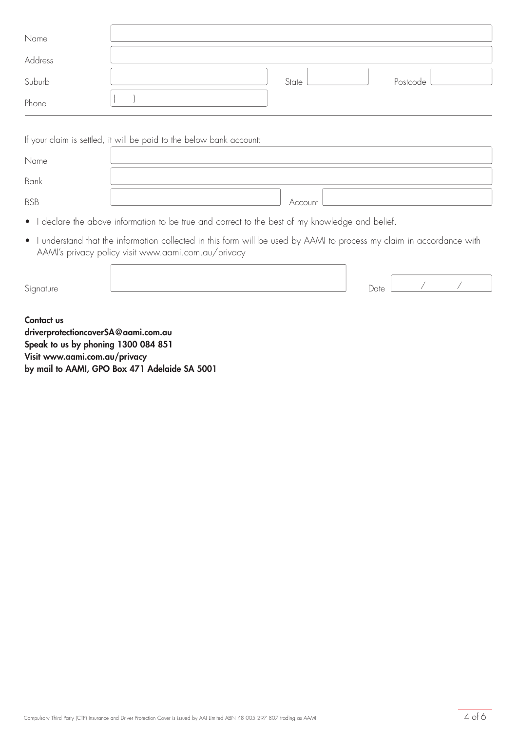| Name    |       |          |
|---------|-------|----------|
| Address |       |          |
| Suburb  | State | Postcode |
| Phone   |       |          |

| If your claim is settled, it will be paid to the below bank account: |         |  |  |  |  |  |
|----------------------------------------------------------------------|---------|--|--|--|--|--|
| Name                                                                 |         |  |  |  |  |  |
| Bank                                                                 |         |  |  |  |  |  |
| <b>BSB</b>                                                           | Account |  |  |  |  |  |

- I declare the above information to be true and correct to the best of my knowledge and belief.
- I understand that the information collected in this form will be used by AAMI to process my claim in accordance with AAMI's privacy policy visit www.aami.com.au/privacy

| Signature                                                                                |  | Date |  |
|------------------------------------------------------------------------------------------|--|------|--|
| Contact us<br>driverprotectioncoverSA@aami.com.au<br>Speak to us by phoning 1300 084 851 |  |      |  |

Visit www.aami.com.au/privacy by mail to AAMI, GPO Box 471 Adelaide SA 5001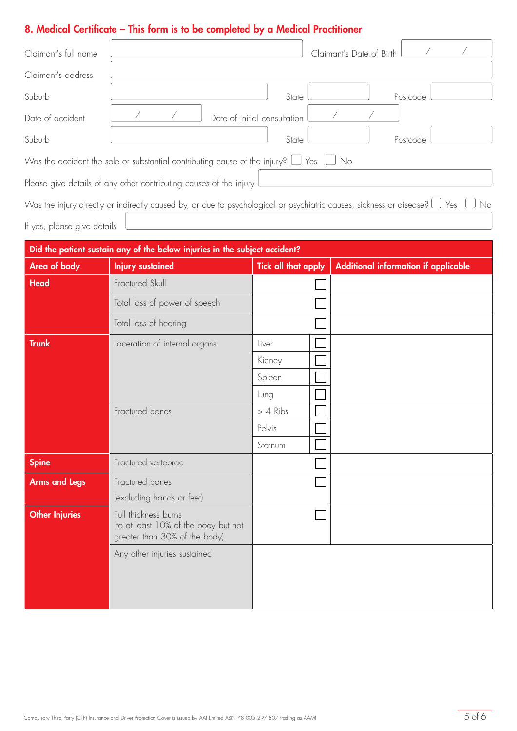# 8. Medical Certificate – This form is to be completed by a Medical Practitioner

 $\overline{a}$ 

| Claimant's full name                                                                                                                      | Claimant's Date of Birth     |  |  |  |  |  |
|-------------------------------------------------------------------------------------------------------------------------------------------|------------------------------|--|--|--|--|--|
| Claimant's address                                                                                                                        |                              |  |  |  |  |  |
| Suburb                                                                                                                                    | State<br>Postcode            |  |  |  |  |  |
| Date of accident                                                                                                                          | Date of initial consultation |  |  |  |  |  |
| Suburb                                                                                                                                    | State<br>Postcode            |  |  |  |  |  |
| Was the accident the sole or substantial contributing cause of the injury? $\Box$ Yes $\Box$ No                                           |                              |  |  |  |  |  |
| Please give details of any other contributing causes of the injury                                                                        |                              |  |  |  |  |  |
| Was the injury directly or indirectly caused by, or due to psychological or psychiatric causes, sickness or disease? $\Box$ Yes $\Box$ No |                              |  |  |  |  |  |
| If yes, please give details                                                                                                               |                              |  |  |  |  |  |

| Did the patient sustain any of the below injuries in the subject accident? |                                                                                               |                            |                                      |  |  |  |
|----------------------------------------------------------------------------|-----------------------------------------------------------------------------------------------|----------------------------|--------------------------------------|--|--|--|
| Area of body                                                               | <b>Injury sustained</b>                                                                       | <b>Tick all that apply</b> | Additional information if applicable |  |  |  |
| <b>Head</b>                                                                | Fractured Skull                                                                               |                            |                                      |  |  |  |
|                                                                            | Total loss of power of speech                                                                 |                            |                                      |  |  |  |
|                                                                            | Total loss of hearing                                                                         |                            |                                      |  |  |  |
| <b>Trunk</b>                                                               | Laceration of internal organs                                                                 | Liver                      |                                      |  |  |  |
|                                                                            |                                                                                               | Kidney                     |                                      |  |  |  |
|                                                                            |                                                                                               | Spleen                     |                                      |  |  |  |
|                                                                            |                                                                                               | Lung                       |                                      |  |  |  |
|                                                                            | Fractured bones                                                                               | $> 4$ Ribs                 |                                      |  |  |  |
|                                                                            |                                                                                               | Pelvis                     |                                      |  |  |  |
|                                                                            |                                                                                               | Sternum                    |                                      |  |  |  |
| <b>Spine</b>                                                               | Fractured vertebrae                                                                           |                            |                                      |  |  |  |
| <b>Arms and Legs</b>                                                       | Fractured bones                                                                               |                            |                                      |  |  |  |
|                                                                            | (excluding hands or feet)                                                                     |                            |                                      |  |  |  |
| <b>Other Injuries</b>                                                      | Full thickness burns<br>(to at least 10% of the body but not<br>greater than 30% of the body) |                            |                                      |  |  |  |
|                                                                            | Any other injuries sustained                                                                  |                            |                                      |  |  |  |
|                                                                            |                                                                                               |                            |                                      |  |  |  |
|                                                                            |                                                                                               |                            |                                      |  |  |  |
|                                                                            |                                                                                               |                            |                                      |  |  |  |